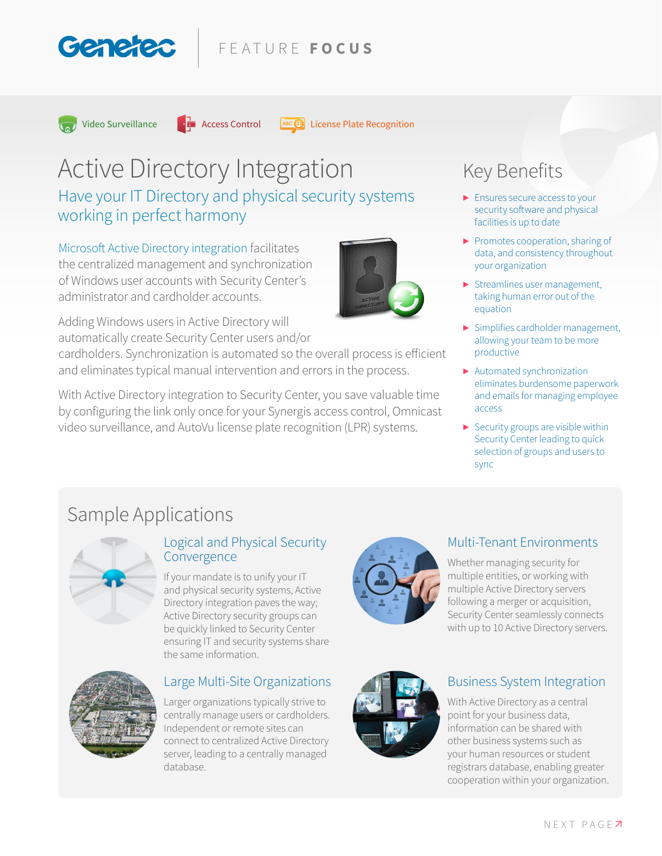### FEATURE **FOCUS**



Video Surveillance  $\cdot$  Access Control  $\sqrt{AB}$  License Plate Recognition

# Active Directory Integration

Have your IT Directory and physical security systems working in perfect harmony

Microsoft Active Directory integration facilitates the centralized management and synchronization of Windows user accounts with Security Center's administrator and cardholder accounts.

Adding Windows users in Active Directory will automatically create Security Center users and/or

cardholders. Synchronization is automated so the overall process is efficient and eliminates typical manual intervention and errors in the process.

With Active Directory integration to Security Center, you save valuable time by configuring the link only once for your Synergis access control, Omnicast video surveillance, and AutoVu license plate recognition (LPR) systems.

# Key Benefits

- **▶** Ensures secure access to your security software and physical facilities is up to date
- **▶** Promotes cooperation, sharing of data, and consistency throughout your organization
- **▶** Streamlines user management, taking human error out of the equation
- **▶** Simplifies cardholder management, allowing your team to be more productive
- **▶** Automated synchronization eliminates burdensome paperwork and emails for managing employee access
- **▶** Security groups are visible within Security Center leading to quick selection of groups and users to sync

# Sample Applications



#### Logical and Physical Security Convergence

If your mandate is to unify your IT and physical security systems, Active Directory integration paves the way; Active Directory security groups can be quickly linked to Security Center ensuring IT and security systems share the same information.



#### Large Multi-Site Organizations

Larger organizations typically strive to centrally manage users or cardholders. Independent or remote sites can connect to centralized Active Directory server, leading to a centrally managed database.



#### Multi-Tenant Environments

Whether managing security for multiple entities, or working with multiple Active Directory servers following a merger or acquisition, Security Center seamlessly connects with up to 10 Active Directory servers.



#### Business System Integration

With Active Directory as a central point for your business data, information can be shared with other business systems such as your human resources or student registrars database, enabling greater cooperation within your organization.